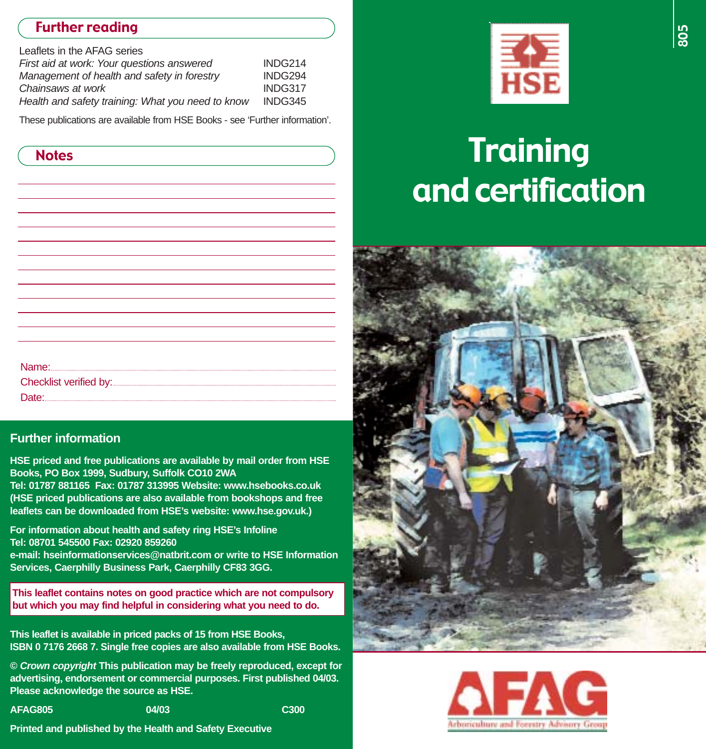## Further reading

| Leaflets in the AFAG series                       |         |
|---------------------------------------------------|---------|
| First aid at work: Your questions answered        | INDG214 |
| Management of health and safety in forestry       | INDG294 |
| Chainsaws at work                                 | INDG317 |
| Health and safety training: What you need to know | INDG345 |
|                                                   |         |

These publications are available from HSE Books - see 'Further information'.

| <b>Notes</b>           |  |
|------------------------|--|
|                        |  |
|                        |  |
|                        |  |
|                        |  |
|                        |  |
|                        |  |
|                        |  |
|                        |  |
|                        |  |
|                        |  |
|                        |  |
| Name:                  |  |
| Checklist verified by: |  |
| Date:                  |  |

#### **Further information**

**HSE priced and free publications are available by mail order from HSE Books, PO Box 1999, Sudbury, Suffolk CO10 2WA**

**Tel: 01787 881165 Fax: 01787 313995 Website: www.hsebooks.co.uk (HSE priced publications are also available from bookshops and free leaflets can be downloaded from HSE's website: www.hse.gov.uk.)**

**For information about health and safety ring HSE's Infoline Tel: 08701 545500 Fax: 02920 859260 e-mail: hseinformationservices@natbrit.com or write to HSE Information Services, Caerphilly Business Park, Caerphilly CF83 3GG.** 

**This leaflet contains notes on good practice which are not compulsory but which you may find helpful in considering what you need to do.**

**This leaflet is available in priced packs of 15 from HSE Books, ISBN 0 7176 2668 7. Single free copies are also available from HSE Books.** 

**© Crown copyright This publication may be freely reproduced, except for advertising, endorsement or commercial purposes. First published 04/03. Please acknowledge the source as HSE.**

**AFAG805 04/03 C300**

**Printed and published by the Health and Safety Executive**



# **Training** and certification



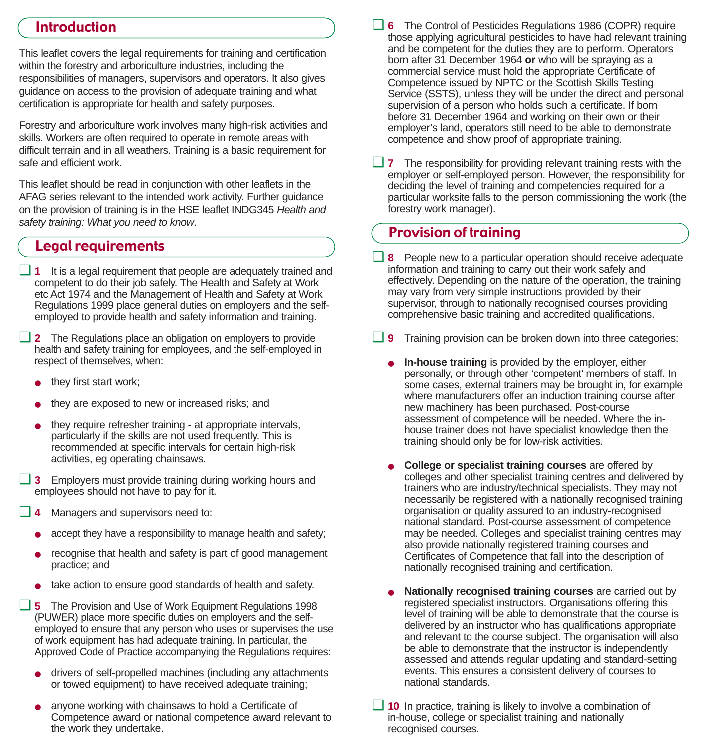#### Introduction

This leaflet covers the legal requirements for training and certification within the forestry and arboriculture industries, including the responsibilities of managers, supervisors and operators. It also gives guidance on access to the provision of adequate training and what certification is appropriate for health and safety purposes.

Forestry and arboriculture work involves many high-risk activities and skills. Workers are often required to operate in remote areas with difficult terrain and in all weathers. Training is a basic requirement for safe and efficient work.

This leaflet should be read in conjunction with other leaflets in the AFAG series relevant to the intended work activity. Further guidance on the provision of training is in the HSE leaflet INDG345 Health and safety training: What you need to know.

## Legal requirements

- ❏ **1** It is a legal requirement that people are adequately trained and competent to do their job safely. The Health and Safety at Work etc Act 1974 and the Management of Health and Safety at Work Regulations 1999 place general duties on employers and the selfemployed to provide health and safety information and training.
- ❏ **2** The Regulations place an obligation on employers to provide health and safety training for employees, and the self-employed in respect of themselves, when:
	- they first start work;
	- they are exposed to new or increased risks; and
	- they require refresher training at appropriate intervals, particularly if the skills are not used frequently. This is recommended at specific intervals for certain high-risk activities, eg operating chainsaws.
- ❏ **3** Employers must provide training during working hours and employees should not have to pay for it.
- ❏ **4** Managers and supervisors need to:
	- accept they have a responsibility to manage health and safety;
	- recognise that health and safety is part of good management practice; and
	- take action to ensure good standards of health and safety.
- ❏ **5** The Provision and Use of Work Equipment Regulations 1998 (PUWER) place more specific duties on employers and the selfemployed to ensure that any person who uses or supervises the use of work equipment has had adequate training. In particular, the Approved Code of Practice accompanying the Regulations requires:
	- drivers of self-propelled machines (including any attachments or towed equipment) to have received adequate training;
	- anyone working with chainsaws to hold a Certificate of Competence award or national competence award relevant to the work they undertake.
- ❏ **6** The Control of Pesticides Regulations 1986 (COPR) require those applying agricultural pesticides to have had relevant training and be competent for the duties they are to perform. Operators born after 31 December 1964 **or** who will be spraying as a commercial service must hold the appropriate Certificate of Competence issued by NPTC or the Scottish Skills Testing Service (SSTS), unless they will be under the direct and personal supervision of a person who holds such a certificate. If born before 31 December 1964 and working on their own or their employer's land, operators still need to be able to demonstrate competence and show proof of appropriate training.
- ❏ **7** The responsibility for providing relevant training rests with the employer or self-employed person. However, the responsibility for deciding the level of training and competencies required for a particular worksite falls to the person commissioning the work (the forestry work manager).

## Provision of training

- ❏ **8** People new to a particular operation should receive adequate information and training to carry out their work safely and effectively. Depending on the nature of the operation, the training may vary from very simple instructions provided by their supervisor, through to nationally recognised courses providing comprehensive basic training and accredited qualifications.
- ❏ **9** Training provision can be broken down into three categories:
	- **In-house training** is provided by the employer, either personally, or through other 'competent' members of staff. In some cases, external trainers may be brought in, for example where manufacturers offer an induction training course after new machinery has been purchased. Post-course assessment of competence will be needed. Where the inhouse trainer does not have specialist knowledge then the training should only be for low-risk activities.
	- **College or specialist training courses** are offered by colleges and other specialist training centres and delivered by trainers who are industry/technical specialists. They may not necessarily be registered with a nationally recognised training organisation or quality assured to an industry-recognised national standard. Post-course assessment of competence may be needed. Colleges and specialist training centres may also provide nationally registered training courses and Certificates of Competence that fall into the description of nationally recognised training and certification.
	- **Nationally recognised training courses** are carried out by registered specialist instructors. Organisations offering this level of training will be able to demonstrate that the course is delivered by an instructor who has qualifications appropriate and relevant to the course subject. The organisation will also be able to demonstrate that the instructor is independently assessed and attends regular updating and standard-setting events. This ensures a consistent delivery of courses to national standards.
- ❏ **10** In practice, training is likely to involve a combination of in-house, college or specialist training and nationally recognised courses.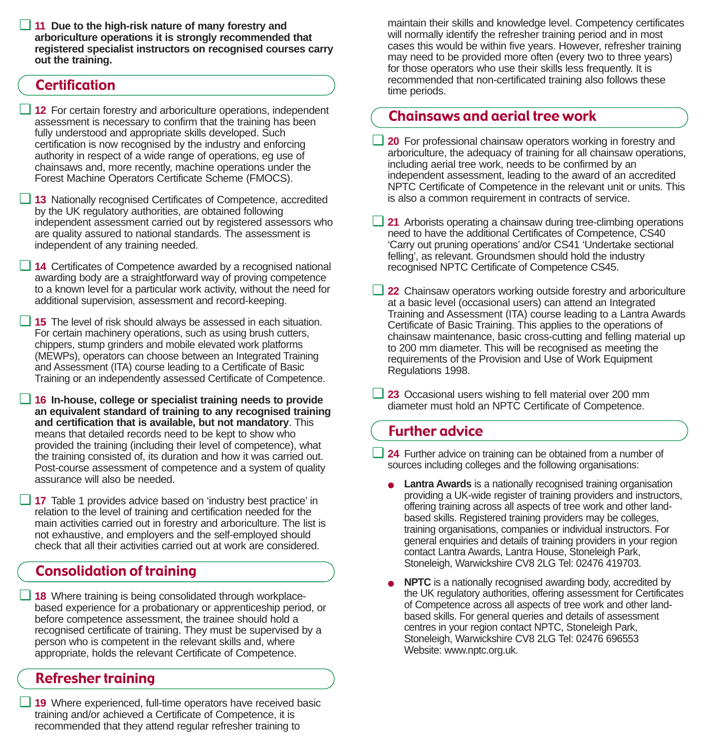❏ **11 Due to the high-risk nature of many forestry and arboriculture operations it is strongly recommended that registered specialist instructors on recognised courses carry out the training.**

### **Certification**

- ❏ **12** For certain forestry and arboriculture operations, independent assessment is necessary to confirm that the training has been fully understood and appropriate skills developed. Such certification is now recognised by the industry and enforcing authority in respect of a wide range of operations, eg use of chainsaws and, more recently, machine operations under the Forest Machine Operators Certificate Scheme (FMOCS).
- ❏ **13** Nationally recognised Certificates of Competence, accredited by the UK regulatory authorities, are obtained following independent assessment carried out by registered assessors who are quality assured to national standards. The assessment is independent of any training needed.
- ❏ **14** Certificates of Competence awarded by a recognised national awarding body are a straightforward way of proving competence to a known level for a particular work activity, without the need for additional supervision, assessment and record-keeping.
- ❏ **15** The level of risk should always be assessed in each situation. For certain machinery operations, such as using brush cutters, chippers, stump grinders and mobile elevated work platforms (MEWPs), operators can choose between an Integrated Training and Assessment (ITA) course leading to a Certificate of Basic Training or an independently assessed Certificate of Competence.
- ❏ **16 In-house, college or specialist training needs to provide an equivalent standard of training to any recognised training and certification that is available, but not mandatory**. This means that detailed records need to be kept to show who provided the training (including their level of competence), what the training consisted of, its duration and how it was carried out. Post-course assessment of competence and a system of quality assurance will also be needed.
- ❏ **17** Table 1 provides advice based on 'industry best practice' in relation to the level of training and certification needed for the main activities carried out in forestry and arboriculture. The list is not exhaustive, and employers and the self-employed should check that all their activities carried out at work are considered.

## Consolidation of training

❏ **18** Where training is being consolidated through workplacebased experience for a probationary or apprenticeship period, or before competence assessment, the trainee should hold a recognised certificate of training. They must be supervised by a person who is competent in the relevant skills and, where appropriate, holds the relevant Certificate of Competence.

## Refresher training

❏ **19** Where experienced, full-time operators have received basic training and/or achieved a Certificate of Competence, it is recommended that they attend regular refresher training to

maintain their skills and knowledge level. Competency certificates will normally identify the refresher training period and in most cases this would be within five years. However, refresher training may need to be provided more often (every two to three years) for those operators who use their skills less frequently. It is recommended that non-certificated training also follows these time periods.

## Chainsaws and aerial tree work

- ❏ **20** For professional chainsaw operators working in forestry and arboriculture, the adequacy of training for all chainsaw operations, including aerial tree work, needs to be confirmed by an independent assessment, leading to the award of an accredited NPTC Certificate of Competence in the relevant unit or units. This is also a common requirement in contracts of service.
- ❏ **21** Arborists operating a chainsaw during tree-climbing operations need to have the additional Certificates of Competence, CS40 'Carry out pruning operations' and/or CS41 'Undertake sectional felling', as relevant. Groundsmen should hold the industry recognised NPTC Certificate of Competence CS45.
- ❏ **22** Chainsaw operators working outside forestry and arboriculture at a basic level (occasional users) can attend an Integrated Training and Assessment (ITA) course leading to a Lantra Awards Certificate of Basic Training. This applies to the operations of chainsaw maintenance, basic cross-cutting and felling material up to 200 mm diameter. This will be recognised as meeting the requirements of the Provision and Use of Work Equipment Regulations 1998.
- ❏ **23** Occasional users wishing to fell material over 200 mm diameter must hold an NPTC Certificate of Competence.

## Further advice

- ❏ **24** Further advice on training can be obtained from a number of sources including colleges and the following organisations:
	- **Lantra Awards** is a nationally recognised training organisation providing a UK-wide register of training providers and instructors, offering training across all aspects of tree work and other landbased skills. Registered training providers may be colleges, training organisations, companies or individual instructors. For general enquiries and details of training providers in your region contact Lantra Awards, Lantra House, Stoneleigh Park, Stoneleigh, Warwickshire CV8 2LG Tel: 02476 419703.
	- **NPTC** is a nationally recognised awarding body, accredited by the UK regulatory authorities, offering assessment for Certificates of Competence across all aspects of tree work and other landbased skills. For general queries and details of assessment centres in your region contact NPTC, Stoneleigh Park, Stoneleigh, Warwickshire CV8 2LG Tel: 02476 696553 Website: www.nptc.org.uk.